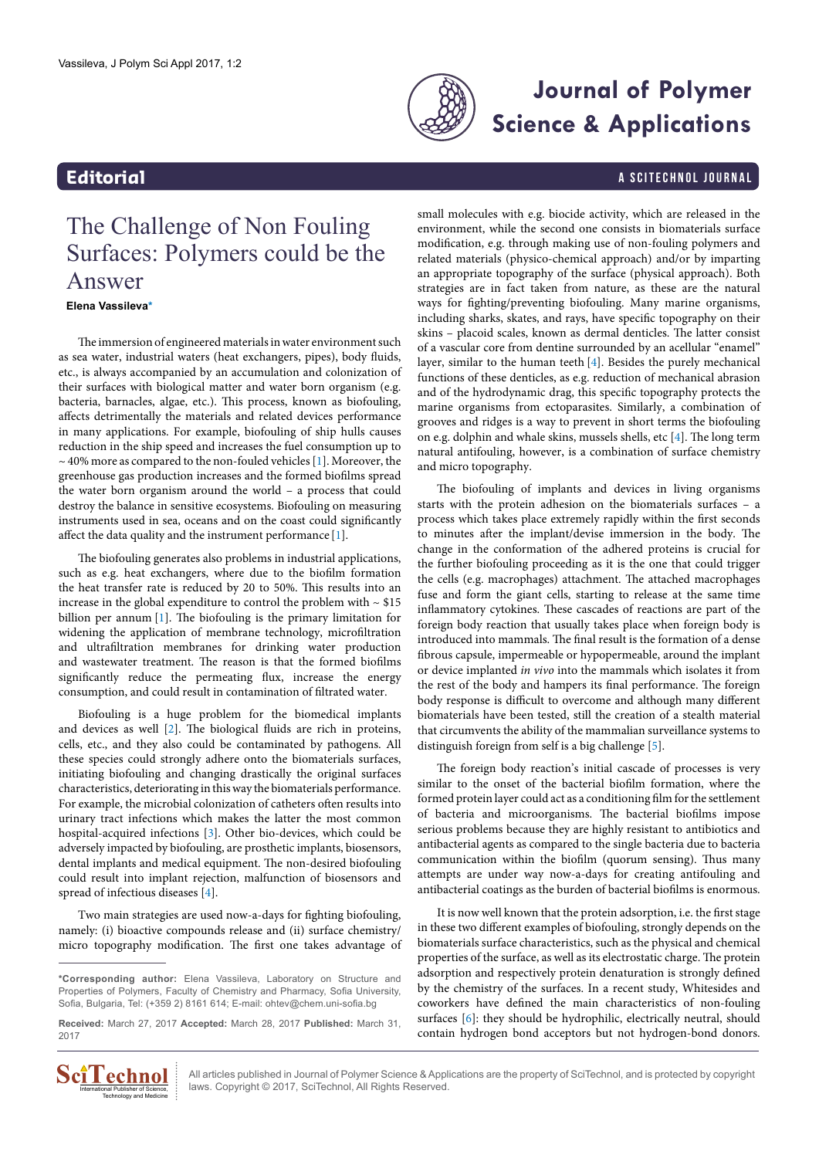

# **Journal of Polymer Science & Applications**

## <span id="page-0-1"></span>**Editorial** a Scitechnol journal and the set of the set of the set of the set of the set of the set of the set of the set of the set of the set of the set of the set of the set of the set of the set of the set of the set o

# The Challenge of Non Fouling Surfaces: Polymers could be the Answer

### **Elena Vassileva[\\*](#page-0-0)**

The immersion of engineered materials in water environment such as sea water, industrial waters (heat exchangers, pipes), body fluids, etc., is always accompanied by an accumulation and colonization of their surfaces with biological matter and water born organism (e.g. bacteria, barnacles, algae, etc.). This process, known as biofouling, affects detrimentally the materials and related devices performance in many applications. For example, biofouling of ship hulls causes reduction in the ship speed and increases the fuel consumption up to  $\sim$  40% more as compared to the non-fouled vehicles [\[1](#page-1-3)]. Moreover, the greenhouse gas production increases and the formed biofilms spread the water born organism around the world – a process that could destroy the balance in sensitive ecosystems. Biofouling on measuring instruments used in sea, oceans and on the coast could significantly affect the data quality and the instrument performance [[1](#page-1-3)].

The biofouling generates also problems in industrial applications, such as e.g. heat exchangers, where due to the biofilm formation the heat transfer rate is reduced by 20 to 50%. This results into an increase in the global expenditure to control the problem with  $\sim$  \$15 billion per annum [\[1\]](#page-1-3). The biofouling is the primary limitation for widening the application of membrane technology, microfiltration and ultrafiltration membranes for drinking water production and wastewater treatment. The reason is that the formed biofilms significantly reduce the permeating flux, increase the energy consumption, and could result in contamination of filtrated water.

Biofouling is a huge problem for the biomedical implants and devices as well [\[2\]](#page-1-4). The biological fluids are rich in proteins, cells, etc., and they also could be contaminated by pathogens. All these species could strongly adhere onto the biomaterials surfaces, initiating biofouling and changing drastically the original surfaces characteristics, deteriorating in this way the biomaterials performance. For example, the microbial colonization of catheters often results into urinary tract infections which makes the latter the most common hospital-acquired infections [\[3](#page-1-5)]. Other bio-devices, which could be adversely impacted by biofouling, are prosthetic implants, biosensors, dental implants and medical equipment. The non-desired biofouling could result into implant rejection, malfunction of biosensors and spread of infectious diseases [\[4](#page-1-0)].

Two main strategies are used now-a-days for fighting biofouling, namely: (i) bioactive compounds release and (ii) surface chemistry/ micro topography modification. The first one takes advantage of

**Received:** March 27, 2017 **Accepted:** March 28, 2017 **Published:** March 31, 2017



All articles published in Journal of Polymer Science & Applications are the property of SciTechnol, and is protected by copyright laws. Copyright © 2017, SciTechnol, All Rights Reserved.

small molecules with e.g. biocide activity, which are released in the environment, while the second one consists in biomaterials surface modification, e.g. through making use of non-fouling polymers and related materials (physico-chemical approach) and/or by imparting an appropriate topography of the surface (physical approach). Both strategies are in fact taken from nature, as these are the natural ways for fighting/preventing biofouling. Many marine organisms, including sharks, skates, and rays, have specific topography on their skins – placoid scales, known as dermal denticles. The latter consist of a vascular core from dentine surrounded by an acellular "enamel" layer, similar to the human teeth [[4\]](#page-1-0). Besides the purely mechanical functions of these denticles, as e.g. reduction of mechanical abrasion and of the hydrodynamic drag, this specific topography protects the marine organisms from ectoparasites. Similarly, a combination of grooves and ridges is a way to prevent in short terms the biofouling on e.g. dolphin and whale skins, mussels shells, etc [\[4\]](#page-1-0). The long term natural antifouling, however, is a combination of surface chemistry and micro topography.

The biofouling of implants and devices in living organisms starts with the protein adhesion on the biomaterials surfaces – a process which takes place extremely rapidly within the first seconds to minutes after the implant/devise immersion in the body. The change in the conformation of the adhered proteins is crucial for the further biofouling proceeding as it is the one that could trigger the cells (e.g. macrophages) attachment. The attached macrophages fuse and form the giant cells, starting to release at the same time inflammatory cytokines. These cascades of reactions are part of the foreign body reaction that usually takes place when foreign body is introduced into mammals. The final result is the formation of a dense fibrous capsule, impermeable or hypopermeable, around the implant or device implanted *in vivo* into the mammals which isolates it from the rest of the body and hampers its final performance. The foreign body response is difficult to overcome and although many different biomaterials have been tested, still the creation of a stealth material that circumvents the ability of the mammalian surveillance systems to distinguish foreign from self is a big challenge [[5](#page-1-1)].

The foreign body reaction's initial cascade of processes is very similar to the onset of the bacterial biofilm formation, where the formed protein layer could act as a conditioning film for the settlement of bacteria and microorganisms. The bacterial biofilms impose serious problems because they are highly resistant to antibiotics and antibacterial agents as compared to the single bacteria due to bacteria communication within the biofilm (quorum sensing). Thus many attempts are under way now-a-days for creating antifouling and antibacterial coatings as the burden of bacterial biofilms is enormous.

It is now well known that the protein adsorption, i.e. the first stage in these two different examples of biofouling, strongly depends on the biomaterials surface characteristics, such as the physical and chemical properties of the surface, as well as its electrostatic charge. The protein adsorption and respectively protein denaturation is strongly defined by the chemistry of the surfaces. In a recent study, Whitesides and coworkers have defined the main characteristics of non-fouling surfaces [[6](#page-1-2)]: they should be hydrophilic, electrically neutral, should contain hydrogen bond acceptors but not hydrogen-bond donors.

<span id="page-0-0"></span>**<sup>\*</sup>Corresponding author:** Elena Vassileva, Laboratory on Structure and Properties of Polymers, Faculty of Chemistry and Pharmacy, Sofia University, Sofia, Bulgaria, Tel: (+359 2) 8161 614; E-mail: ohtev@chem.uni-sofia.bg